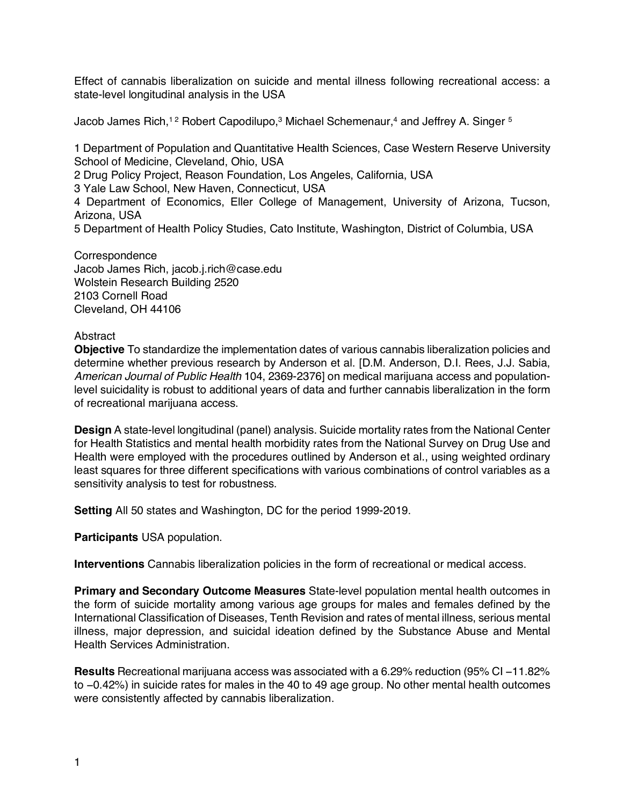Effect of cannabis liberalization on suicide and mental illness following recreational access: a state-level longitudinal analysis in the USA

Jacob James Rich,<sup>12</sup> Robert Capodilupo,<sup>3</sup> Michael Schemenaur,<sup>4</sup> and Jeffrey A. Singer <sup>5</sup>

1 Department of Population and Quantitative Health Sciences, Case Western Reserve University School of Medicine, Cleveland, Ohio, USA

2 Drug Policy Project, Reason Foundation, Los Angeles, California, USA

3 Yale Law School, New Haven, Connecticut, USA

4 Department of Economics, Eller College of Management, University of Arizona, Tucson, Arizona, USA

5 Department of Health Policy Studies, Cato Institute, Washington, District of Columbia, USA

**Correspondence** Jacob James Rich, jacob.j.rich@case.edu Wolstein Research Building 2520 2103 Cornell Road Cleveland, OH 44106

### Abstract

**Objective** To standardize the implementation dates of various cannabis liberalization policies and determine whether previous research by Anderson et al. [D.M. Anderson, D.I. Rees, J.J. Sabia, *American Journal of Public Health* 104, 2369-2376] on medical marijuana access and populationlevel suicidality is robust to additional years of data and further cannabis liberalization in the form of recreational marijuana access.

**Design** A state-level longitudinal (panel) analysis. Suicide mortality rates from the National Center for Health Statistics and mental health morbidity rates from the National Survey on Drug Use and Health were employed with the procedures outlined by Anderson et al., using weighted ordinary least squares for three different specifications with various combinations of control variables as a sensitivity analysis to test for robustness.

**Setting** All 50 states and Washington, DC for the period 1999-2019.

**Participants** USA population.

**Interventions** Cannabis liberalization policies in the form of recreational or medical access.

**Primary and Secondary Outcome Measures** State-level population mental health outcomes in the form of suicide mortality among various age groups for males and females defined by the International Classification of Diseases, Tenth Revision and rates of mental illness, serious mental illness, major depression, and suicidal ideation defined by the Substance Abuse and Mental Health Services Administration.

**Results** Recreational marijuana access was associated with a 6.29% reduction (95% CI −11.82% to −0.42%) in suicide rates for males in the 40 to 49 age group. No other mental health outcomes were consistently affected by cannabis liberalization.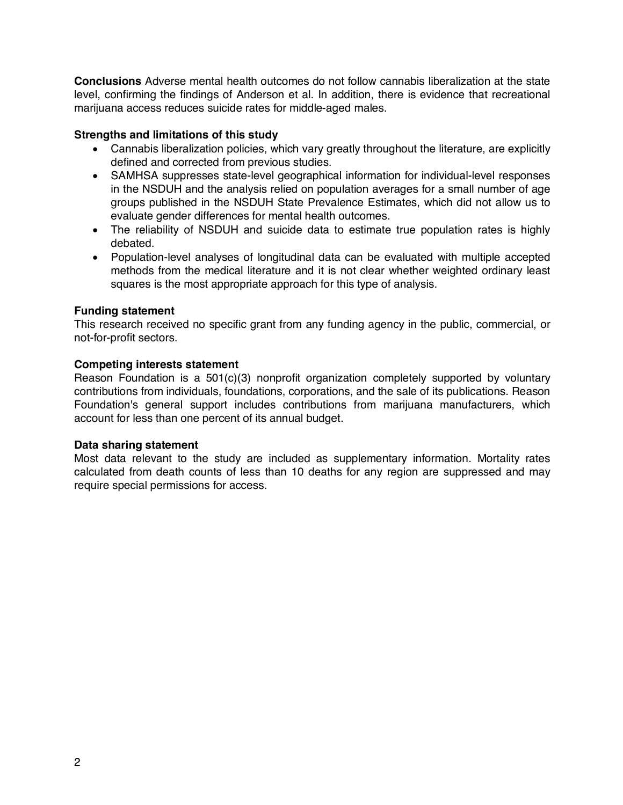**Conclusions** Adverse mental health outcomes do not follow cannabis liberalization at the state level, confirming the findings of Anderson et al. In addition, there is evidence that recreational marijuana access reduces suicide rates for middle-aged males.

### **Strengths and limitations of this study**

- Cannabis liberalization policies, which vary greatly throughout the literature, are explicitly defined and corrected from previous studies.
- SAMHSA suppresses state-level geographical information for individual-level responses in the NSDUH and the analysis relied on population averages for a small number of age groups published in the NSDUH State Prevalence Estimates, which did not allow us to evaluate gender differences for mental health outcomes.
- The reliability of NSDUH and suicide data to estimate true population rates is highly debated.
- Population-level analyses of longitudinal data can be evaluated with multiple accepted methods from the medical literature and it is not clear whether weighted ordinary least squares is the most appropriate approach for this type of analysis.

### **Funding statement**

This research received no specific grant from any funding agency in the public, commercial, or not-for-profit sectors.

## **Competing interests statement**

Reason Foundation is a  $501(c)(3)$  nonprofit organization completely supported by voluntary contributions from individuals, foundations, corporations, and the sale of its publications. Reason Foundation's general support includes contributions from marijuana manufacturers, which account for less than one percent of its annual budget.

### **Data sharing statement**

Most data relevant to the study are included as supplementary information. Mortality rates calculated from death counts of less than 10 deaths for any region are suppressed and may require special permissions for access.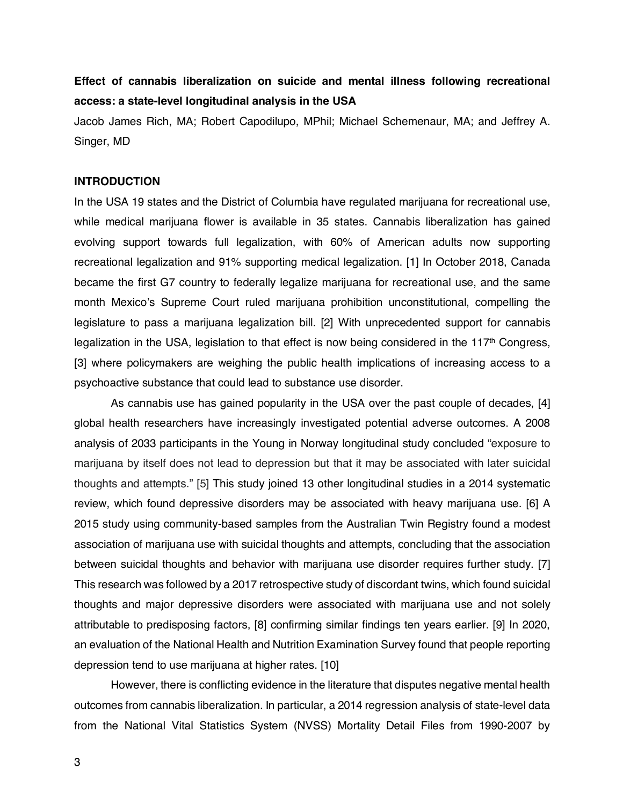# **Effect of cannabis liberalization on suicide and mental illness following recreational access: a state-level longitudinal analysis in the USA**

Jacob James Rich, MA; Robert Capodilupo, MPhil; Michael Schemenaur, MA; and Jeffrey A. Singer, MD

#### **INTRODUCTION**

In the USA 19 states and the District of Columbia have regulated marijuana for recreational use, while medical marijuana flower is available in 35 states. Cannabis liberalization has gained evolving support towards full legalization, with 60% of American adults now supporting recreational legalization and 91% supporting medical legalization. [1] In October 2018, Canada became the first G7 country to federally legalize marijuana for recreational use, and the same month Mexico's Supreme Court ruled marijuana prohibition unconstitutional, compelling the legislature to pass a marijuana legalization bill. [2] With unprecedented support for cannabis legalization in the USA, legislation to that effect is now being considered in the  $117<sup>th</sup>$  Congress, [3] where policymakers are weighing the public health implications of increasing access to a psychoactive substance that could lead to substance use disorder.

As cannabis use has gained popularity in the USA over the past couple of decades, [4] global health researchers have increasingly investigated potential adverse outcomes. A 2008 analysis of 2033 participants in the Young in Norway longitudinal study concluded "exposure to marijuana by itself does not lead to depression but that it may be associated with later suicidal thoughts and attempts." [5] This study joined 13 other longitudinal studies in a 2014 systematic review, which found depressive disorders may be associated with heavy marijuana use. [6] A 2015 study using community-based samples from the Australian Twin Registry found a modest association of marijuana use with suicidal thoughts and attempts, concluding that the association between suicidal thoughts and behavior with marijuana use disorder requires further study. [7] This research was followed by a 2017 retrospective study of discordant twins, which found suicidal thoughts and major depressive disorders were associated with marijuana use and not solely attributable to predisposing factors, [8] confirming similar findings ten years earlier. [9] In 2020, an evaluation of the National Health and Nutrition Examination Survey found that people reporting depression tend to use marijuana at higher rates. [10]

However, there is conflicting evidence in the literature that disputes negative mental health outcomes from cannabis liberalization. In particular, a 2014 regression analysis of state-level data from the National Vital Statistics System (NVSS) Mortality Detail Files from 1990-2007 by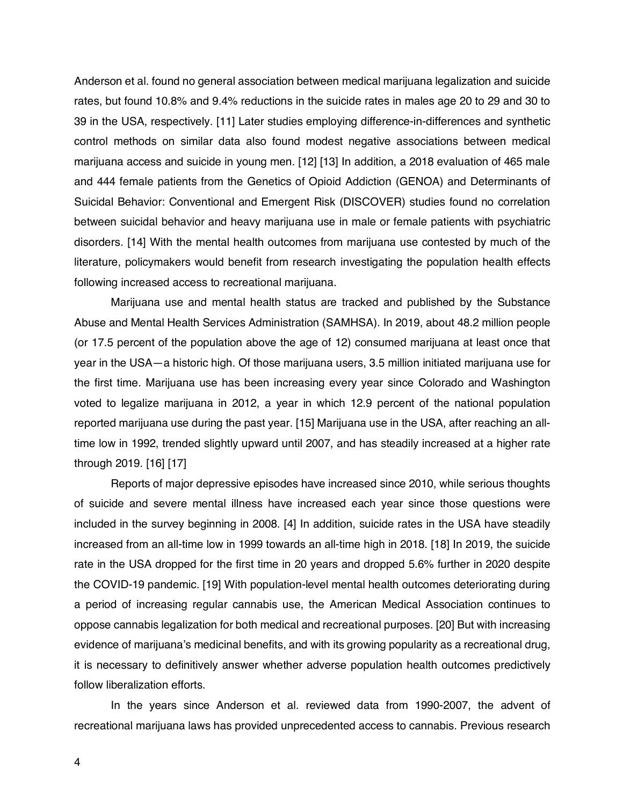Anderson et al. found no general association between medical marijuana legalization and suicide rates, but found 10.8% and 9.4% reductions in the suicide rates in males age 20 to 29 and 30 to 39 in the USA, respectively. [11] Later studies employing difference-in-differences and synthetic control methods on similar data also found modest negative associations between medical marijuana access and suicide in young men. [12] [13] In addition, a 2018 evaluation of 465 male and 444 female patients from the Genetics of Opioid Addiction (GENOA) and Determinants of Suicidal Behavior: Conventional and Emergent Risk (DISCOVER) studies found no correlation between suicidal behavior and heavy marijuana use in male or female patients with psychiatric disorders. [14] With the mental health outcomes from marijuana use contested by much of the literature, policymakers would benefit from research investigating the population health effects following increased access to recreational marijuana.

Marijuana use and mental health status are tracked and published by the Substance Abuse and Mental Health Services Administration (SAMHSA). In 2019, about 48.2 million people (or 17.5 percent of the population above the age of 12) consumed marijuana at least once that year in the USA—a historic high. Of those marijuana users, 3.5 million initiated marijuana use for the first time. Marijuana use has been increasing every year since Colorado and Washington voted to legalize marijuana in 2012, a year in which 12.9 percent of the national population reported marijuana use during the past year. [15] Marijuana use in the USA, after reaching an alltime low in 1992, trended slightly upward until 2007, and has steadily increased at a higher rate through 2019. [16] [17]

Reports of major depressive episodes have increased since 2010, while serious thoughts of suicide and severe mental illness have increased each year since those questions were included in the survey beginning in 2008. [4] In addition, suicide rates in the USA have steadily increased from an all-time low in 1999 towards an all-time high in 2018. [18] In 2019, the suicide rate in the USA dropped for the first time in 20 years and dropped 5.6% further in 2020 despite the COVID-19 pandemic. [19] With population-level mental health outcomes deteriorating during a period of increasing regular cannabis use, the American Medical Association continues to oppose cannabis legalization for both medical and recreational purposes. [20] But with increasing evidence of marijuana's medicinal benefits, and with its growing popularity as a recreational drug, it is necessary to definitively answer whether adverse population health outcomes predictively follow liberalization efforts.

In the years since Anderson et al. reviewed data from 1990-2007, the advent of recreational marijuana laws has provided unprecedented access to cannabis. Previous research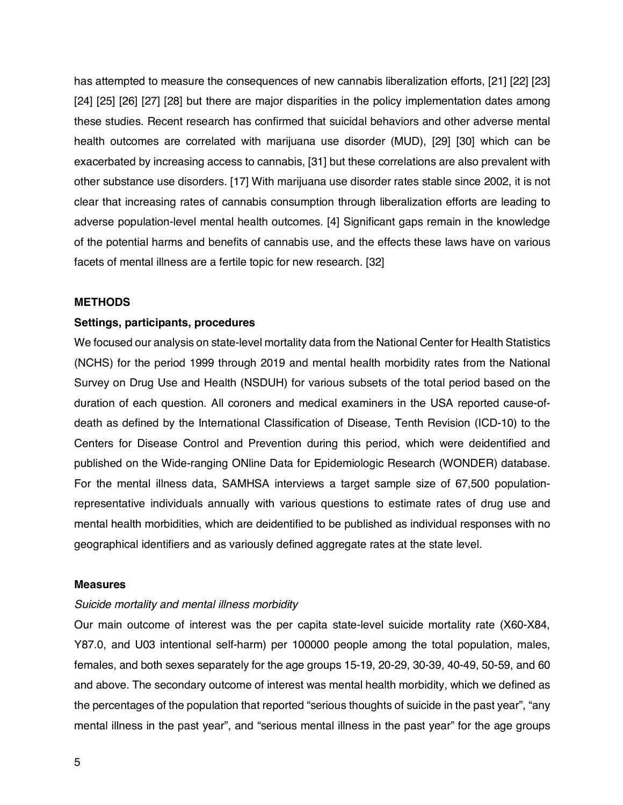has attempted to measure the consequences of new cannabis liberalization efforts, [21] [22] [23] [24] [25] [26] [27] [28] but there are major disparities in the policy implementation dates among these studies. Recent research has confirmed that suicidal behaviors and other adverse mental health outcomes are correlated with marijuana use disorder (MUD), [29] [30] which can be exacerbated by increasing access to cannabis, [31] but these correlations are also prevalent with other substance use disorders. [17] With marijuana use disorder rates stable since 2002, it is not clear that increasing rates of cannabis consumption through liberalization efforts are leading to adverse population-level mental health outcomes. [4] Significant gaps remain in the knowledge of the potential harms and benefits of cannabis use, and the effects these laws have on various facets of mental illness are a fertile topic for new research. [32]

#### **METHODS**

#### **Settings, participants, procedures**

We focused our analysis on state-level mortality data from the National Center for Health Statistics (NCHS) for the period 1999 through 2019 and mental health morbidity rates from the National Survey on Drug Use and Health (NSDUH) for various subsets of the total period based on the duration of each question. All coroners and medical examiners in the USA reported cause-ofdeath as defined by the International Classification of Disease, Tenth Revision (ICD-10) to the Centers for Disease Control and Prevention during this period, which were deidentified and published on the Wide-ranging ONline Data for Epidemiologic Research (WONDER) database. For the mental illness data, SAMHSA interviews a target sample size of 67,500 populationrepresentative individuals annually with various questions to estimate rates of drug use and mental health morbidities, which are deidentified to be published as individual responses with no geographical identifiers and as variously defined aggregate rates at the state level.

#### **Measures**

#### *Suicide mortality and mental illness morbidity*

Our main outcome of interest was the per capita state-level suicide mortality rate (X60-X84, Y87.0, and U03 intentional self-harm) per 100000 people among the total population, males, females, and both sexes separately for the age groups 15-19, 20-29, 30-39, 40-49, 50-59, and 60 and above. The secondary outcome of interest was mental health morbidity, which we defined as the percentages of the population that reported "serious thoughts of suicide in the past year", "any mental illness in the past year", and "serious mental illness in the past year" for the age groups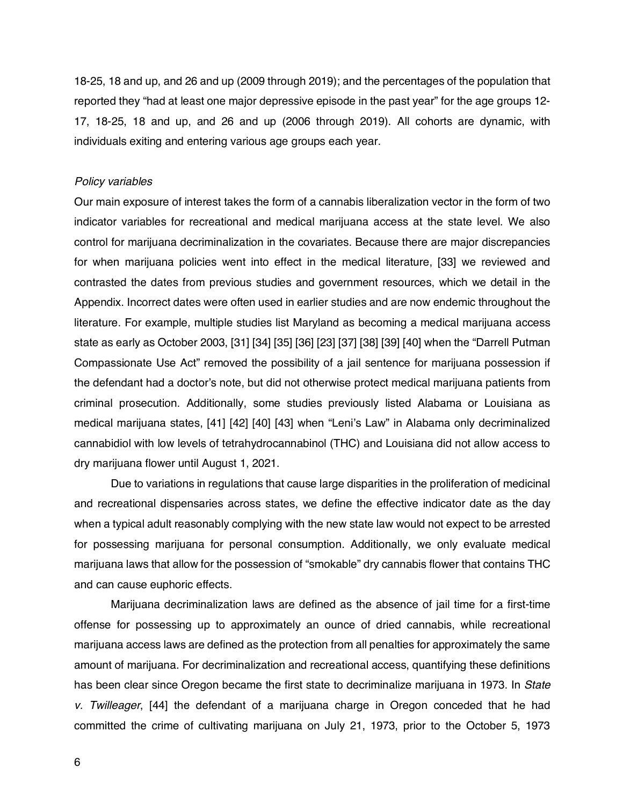18-25, 18 and up, and 26 and up (2009 through 2019); and the percentages of the population that reported they "had at least one major depressive episode in the past year" for the age groups 12- 17, 18-25, 18 and up, and 26 and up (2006 through 2019). All cohorts are dynamic, with individuals exiting and entering various age groups each year.

#### *Policy variables*

Our main exposure of interest takes the form of a cannabis liberalization vector in the form of two indicator variables for recreational and medical marijuana access at the state level. We also control for marijuana decriminalization in the covariates. Because there are major discrepancies for when marijuana policies went into effect in the medical literature, [33] we reviewed and contrasted the dates from previous studies and government resources, which we detail in the Appendix. Incorrect dates were often used in earlier studies and are now endemic throughout the literature. For example, multiple studies list Maryland as becoming a medical marijuana access state as early as October 2003, [31] [34] [35] [36] [23] [37] [38] [39] [40] when the "Darrell Putman Compassionate Use Act" removed the possibility of a jail sentence for marijuana possession if the defendant had a doctor's note, but did not otherwise protect medical marijuana patients from criminal prosecution. Additionally, some studies previously listed Alabama or Louisiana as medical marijuana states, [41] [42] [40] [43] when "Leni's Law" in Alabama only decriminalized cannabidiol with low levels of tetrahydrocannabinol (THC) and Louisiana did not allow access to dry marijuana flower until August 1, 2021.

Due to variations in regulations that cause large disparities in the proliferation of medicinal and recreational dispensaries across states, we define the effective indicator date as the day when a typical adult reasonably complying with the new state law would not expect to be arrested for possessing marijuana for personal consumption. Additionally, we only evaluate medical marijuana laws that allow for the possession of "smokable" dry cannabis flower that contains THC and can cause euphoric effects.

Marijuana decriminalization laws are defined as the absence of jail time for a first-time offense for possessing up to approximately an ounce of dried cannabis, while recreational marijuana access laws are defined as the protection from all penalties for approximately the same amount of marijuana. For decriminalization and recreational access, quantifying these definitions has been clear since Oregon became the first state to decriminalize marijuana in 1973. In *State v. Twilleager*, [44] the defendant of a marijuana charge in Oregon conceded that he had committed the crime of cultivating marijuana on July 21, 1973, prior to the October 5, 1973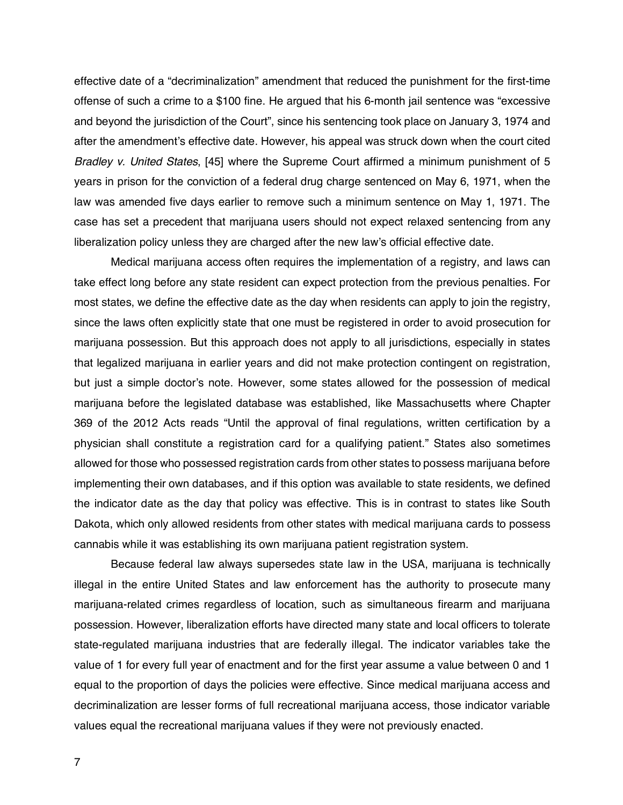effective date of a "decriminalization" amendment that reduced the punishment for the first-time offense of such a crime to a \$100 fine. He argued that his 6-month jail sentence was "excessive and beyond the jurisdiction of the Court", since his sentencing took place on January 3, 1974 and after the amendment's effective date. However, his appeal was struck down when the court cited *Bradley v. United States*, [45] where the Supreme Court affirmed a minimum punishment of 5 years in prison for the conviction of a federal drug charge sentenced on May 6, 1971, when the law was amended five days earlier to remove such a minimum sentence on May 1, 1971. The case has set a precedent that marijuana users should not expect relaxed sentencing from any liberalization policy unless they are charged after the new law's official effective date.

Medical marijuana access often requires the implementation of a registry, and laws can take effect long before any state resident can expect protection from the previous penalties. For most states, we define the effective date as the day when residents can apply to join the registry, since the laws often explicitly state that one must be registered in order to avoid prosecution for marijuana possession. But this approach does not apply to all jurisdictions, especially in states that legalized marijuana in earlier years and did not make protection contingent on registration, but just a simple doctor's note. However, some states allowed for the possession of medical marijuana before the legislated database was established, like Massachusetts where Chapter 369 of the 2012 Acts reads "Until the approval of final regulations, written certification by a physician shall constitute a registration card for a qualifying patient." States also sometimes allowed for those who possessed registration cards from other states to possess marijuana before implementing their own databases, and if this option was available to state residents, we defined the indicator date as the day that policy was effective. This is in contrast to states like South Dakota, which only allowed residents from other states with medical marijuana cards to possess cannabis while it was establishing its own marijuana patient registration system.

Because federal law always supersedes state law in the USA, marijuana is technically illegal in the entire United States and law enforcement has the authority to prosecute many marijuana-related crimes regardless of location, such as simultaneous firearm and marijuana possession. However, liberalization efforts have directed many state and local officers to tolerate state-regulated marijuana industries that are federally illegal. The indicator variables take the value of 1 for every full year of enactment and for the first year assume a value between 0 and 1 equal to the proportion of days the policies were effective. Since medical marijuana access and decriminalization are lesser forms of full recreational marijuana access, those indicator variable values equal the recreational marijuana values if they were not previously enacted.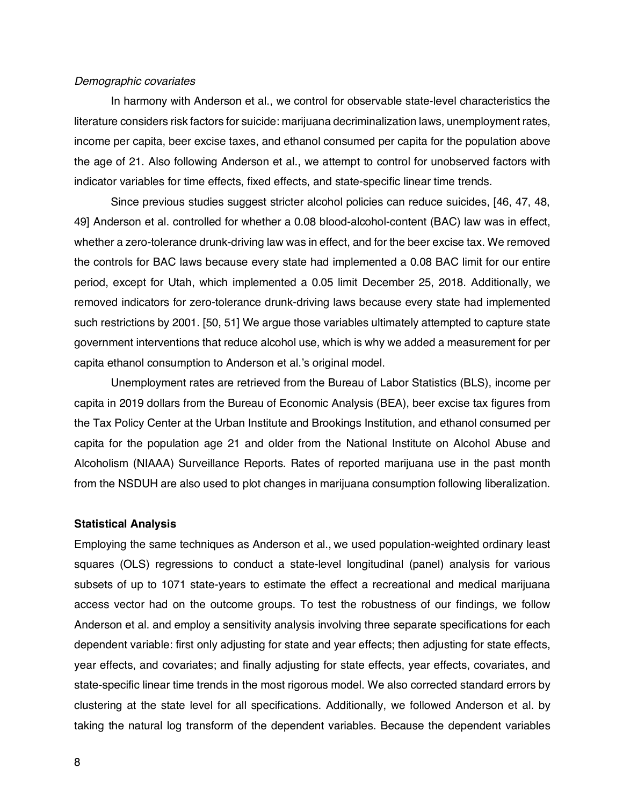#### *Demographic covariates*

In harmony with Anderson et al., we control for observable state-level characteristics the literature considers risk factors for suicide: marijuana decriminalization laws, unemployment rates, income per capita, beer excise taxes, and ethanol consumed per capita for the population above the age of 21. Also following Anderson et al., we attempt to control for unobserved factors with indicator variables for time effects, fixed effects, and state-specific linear time trends.

Since previous studies suggest stricter alcohol policies can reduce suicides, [46, 47, 48, 49] Anderson et al. controlled for whether a 0.08 blood-alcohol-content (BAC) law was in effect, whether a zero-tolerance drunk-driving law was in effect, and for the beer excise tax. We removed the controls for BAC laws because every state had implemented a 0.08 BAC limit for our entire period, except for Utah, which implemented a 0.05 limit December 25, 2018. Additionally, we removed indicators for zero-tolerance drunk-driving laws because every state had implemented such restrictions by 2001. [50, 51] We argue those variables ultimately attempted to capture state government interventions that reduce alcohol use, which is why we added a measurement for per capita ethanol consumption to Anderson et al.'s original model.

Unemployment rates are retrieved from the Bureau of Labor Statistics (BLS), income per capita in 2019 dollars from the Bureau of Economic Analysis (BEA), beer excise tax figures from the Tax Policy Center at the Urban Institute and Brookings Institution, and ethanol consumed per capita for the population age 21 and older from the National Institute on Alcohol Abuse and Alcoholism (NIAAA) Surveillance Reports. Rates of reported marijuana use in the past month from the NSDUH are also used to plot changes in marijuana consumption following liberalization.

#### **Statistical Analysis**

Employing the same techniques as Anderson et al., we used population-weighted ordinary least squares (OLS) regressions to conduct a state-level longitudinal (panel) analysis for various subsets of up to 1071 state-years to estimate the effect a recreational and medical marijuana access vector had on the outcome groups. To test the robustness of our findings, we follow Anderson et al. and employ a sensitivity analysis involving three separate specifications for each dependent variable: first only adjusting for state and year effects; then adjusting for state effects, year effects, and covariates; and finally adjusting for state effects, year effects, covariates, and state-specific linear time trends in the most rigorous model. We also corrected standard errors by clustering at the state level for all specifications. Additionally, we followed Anderson et al. by taking the natural log transform of the dependent variables. Because the dependent variables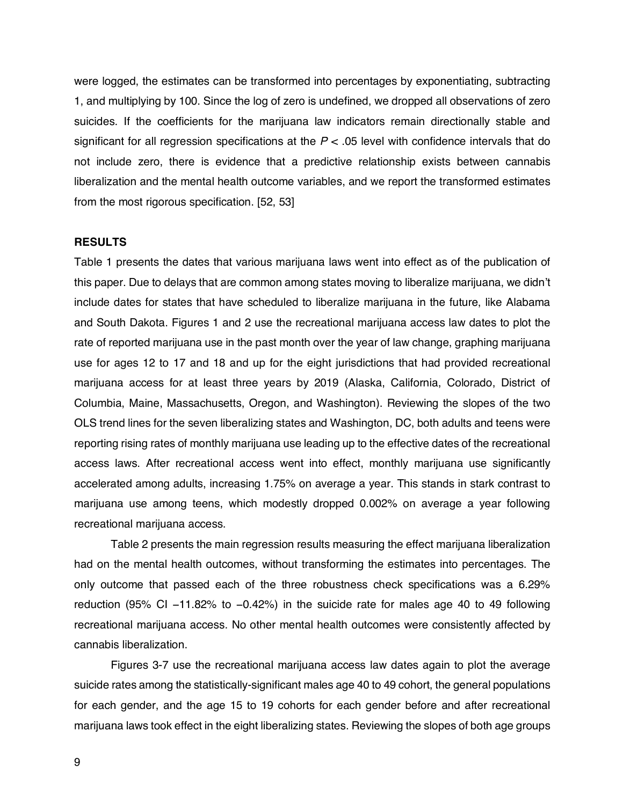were logged, the estimates can be transformed into percentages by exponentiating, subtracting 1, and multiplying by 100. Since the log of zero is undefined, we dropped all observations of zero suicides. If the coefficients for the marijuana law indicators remain directionally stable and significant for all regression specifications at the  $P < 0.05$  level with confidence intervals that do not include zero, there is evidence that a predictive relationship exists between cannabis liberalization and the mental health outcome variables, and we report the transformed estimates from the most rigorous specification. [52, 53]

#### **RESULTS**

Table 1 presents the dates that various marijuana laws went into effect as of the publication of this paper. Due to delays that are common among states moving to liberalize marijuana, we didn't include dates for states that have scheduled to liberalize marijuana in the future, like Alabama and South Dakota. Figures 1 and 2 use the recreational marijuana access law dates to plot the rate of reported marijuana use in the past month over the year of law change, graphing marijuana use for ages 12 to 17 and 18 and up for the eight jurisdictions that had provided recreational marijuana access for at least three years by 2019 (Alaska, California, Colorado, District of Columbia, Maine, Massachusetts, Oregon, and Washington). Reviewing the slopes of the two OLS trend lines for the seven liberalizing states and Washington, DC, both adults and teens were reporting rising rates of monthly marijuana use leading up to the effective dates of the recreational access laws. After recreational access went into effect, monthly marijuana use significantly accelerated among adults, increasing 1.75% on average a year. This stands in stark contrast to marijuana use among teens, which modestly dropped 0.002% on average a year following recreational marijuana access.

Table 2 presents the main regression results measuring the effect marijuana liberalization had on the mental health outcomes, without transforming the estimates into percentages. The only outcome that passed each of the three robustness check specifications was a 6.29% reduction (95% CI −11.82% to −0.42%) in the suicide rate for males age 40 to 49 following recreational marijuana access. No other mental health outcomes were consistently affected by cannabis liberalization.

Figures 3-7 use the recreational marijuana access law dates again to plot the average suicide rates among the statistically-significant males age 40 to 49 cohort, the general populations for each gender, and the age 15 to 19 cohorts for each gender before and after recreational marijuana laws took effect in the eight liberalizing states. Reviewing the slopes of both age groups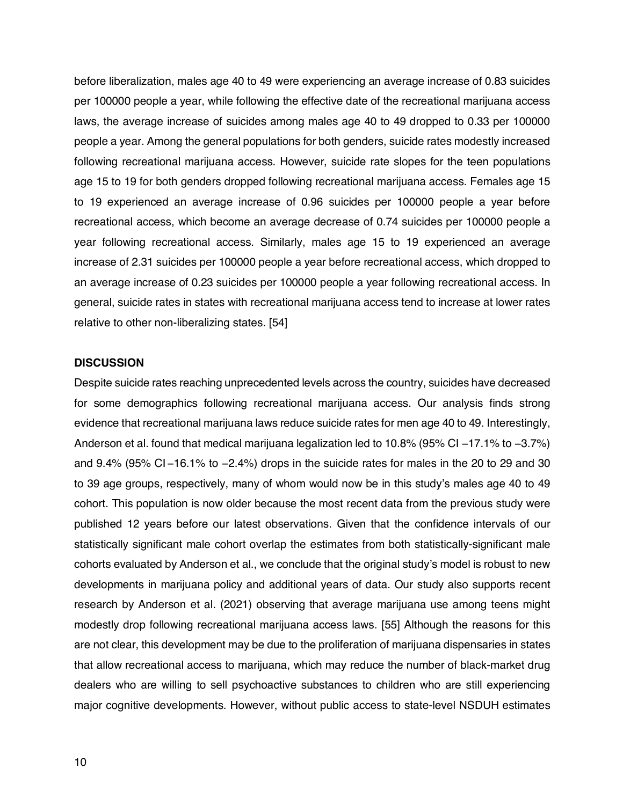before liberalization, males age 40 to 49 were experiencing an average increase of 0.83 suicides per 100000 people a year, while following the effective date of the recreational marijuana access laws, the average increase of suicides among males age 40 to 49 dropped to 0.33 per 100000 people a year. Among the general populations for both genders, suicide rates modestly increased following recreational marijuana access. However, suicide rate slopes for the teen populations age 15 to 19 for both genders dropped following recreational marijuana access. Females age 15 to 19 experienced an average increase of 0.96 suicides per 100000 people a year before recreational access, which become an average decrease of 0.74 suicides per 100000 people a year following recreational access. Similarly, males age 15 to 19 experienced an average increase of 2.31 suicides per 100000 people a year before recreational access, which dropped to an average increase of 0.23 suicides per 100000 people a year following recreational access. In general, suicide rates in states with recreational marijuana access tend to increase at lower rates relative to other non-liberalizing states. [54]

#### **DISCUSSION**

Despite suicide rates reaching unprecedented levels across the country, suicides have decreased for some demographics following recreational marijuana access. Our analysis finds strong evidence that recreational marijuana laws reduce suicide rates for men age 40 to 49. Interestingly, Anderson et al. found that medical marijuana legalization led to 10.8% (95% CI −17.1% to −3.7%) and 9.4% (95% CI −16.1% to −2.4%) drops in the suicide rates for males in the 20 to 29 and 30 to 39 age groups, respectively, many of whom would now be in this study's males age 40 to 49 cohort. This population is now older because the most recent data from the previous study were published 12 years before our latest observations. Given that the confidence intervals of our statistically significant male cohort overlap the estimates from both statistically-significant male cohorts evaluated by Anderson et al., we conclude that the original study's model is robust to new developments in marijuana policy and additional years of data. Our study also supports recent research by Anderson et al. (2021) observing that average marijuana use among teens might modestly drop following recreational marijuana access laws. [55] Although the reasons for this are not clear, this development may be due to the proliferation of marijuana dispensaries in states that allow recreational access to marijuana, which may reduce the number of black-market drug dealers who are willing to sell psychoactive substances to children who are still experiencing major cognitive developments. However, without public access to state-level NSDUH estimates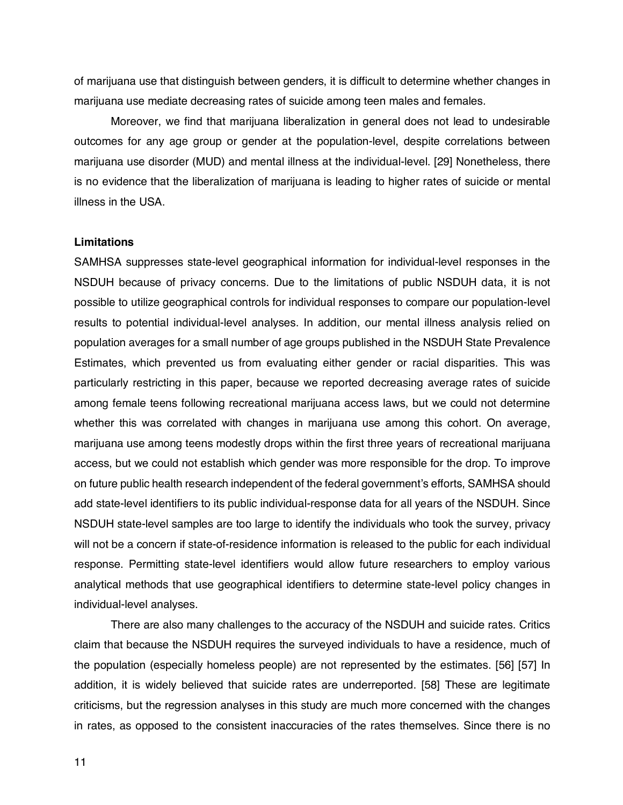of marijuana use that distinguish between genders, it is difficult to determine whether changes in marijuana use mediate decreasing rates of suicide among teen males and females.

Moreover, we find that marijuana liberalization in general does not lead to undesirable outcomes for any age group or gender at the population-level, despite correlations between marijuana use disorder (MUD) and mental illness at the individual-level. [29] Nonetheless, there is no evidence that the liberalization of marijuana is leading to higher rates of suicide or mental illness in the USA.

#### **Limitations**

SAMHSA suppresses state-level geographical information for individual-level responses in the NSDUH because of privacy concerns. Due to the limitations of public NSDUH data, it is not possible to utilize geographical controls for individual responses to compare our population-level results to potential individual-level analyses. In addition, our mental illness analysis relied on population averages for a small number of age groups published in the NSDUH State Prevalence Estimates, which prevented us from evaluating either gender or racial disparities. This was particularly restricting in this paper, because we reported decreasing average rates of suicide among female teens following recreational marijuana access laws, but we could not determine whether this was correlated with changes in marijuana use among this cohort. On average, marijuana use among teens modestly drops within the first three years of recreational marijuana access, but we could not establish which gender was more responsible for the drop. To improve on future public health research independent of the federal government's efforts, SAMHSA should add state-level identifiers to its public individual-response data for all years of the NSDUH. Since NSDUH state-level samples are too large to identify the individuals who took the survey, privacy will not be a concern if state-of-residence information is released to the public for each individual response. Permitting state-level identifiers would allow future researchers to employ various analytical methods that use geographical identifiers to determine state-level policy changes in individual-level analyses.

There are also many challenges to the accuracy of the NSDUH and suicide rates. Critics claim that because the NSDUH requires the surveyed individuals to have a residence, much of the population (especially homeless people) are not represented by the estimates. [56] [57] In addition, it is widely believed that suicide rates are underreported. [58] These are legitimate criticisms, but the regression analyses in this study are much more concerned with the changes in rates, as opposed to the consistent inaccuracies of the rates themselves. Since there is no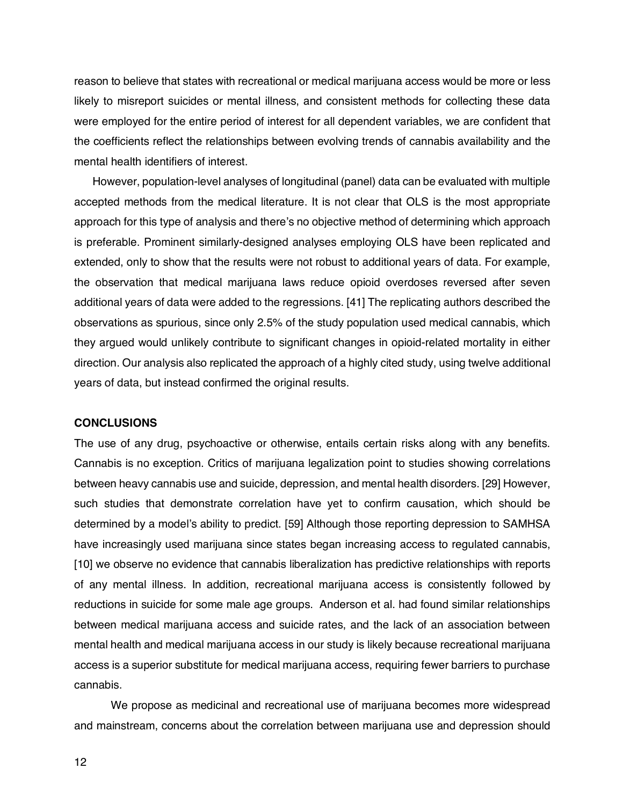reason to believe that states with recreational or medical marijuana access would be more or less likely to misreport suicides or mental illness, and consistent methods for collecting these data were employed for the entire period of interest for all dependent variables, we are confident that the coefficients reflect the relationships between evolving trends of cannabis availability and the mental health identifiers of interest.

However, population-level analyses of longitudinal (panel) data can be evaluated with multiple accepted methods from the medical literature. It is not clear that OLS is the most appropriate approach for this type of analysis and there's no objective method of determining which approach is preferable. Prominent similarly-designed analyses employing OLS have been replicated and extended, only to show that the results were not robust to additional years of data. For example, the observation that medical marijuana laws reduce opioid overdoses reversed after seven additional years of data were added to the regressions. [41] The replicating authors described the observations as spurious, since only 2.5% of the study population used medical cannabis, which they argued would unlikely contribute to significant changes in opioid-related mortality in either direction. Our analysis also replicated the approach of a highly cited study, using twelve additional years of data, but instead confirmed the original results.

#### **CONCLUSIONS**

The use of any drug, psychoactive or otherwise, entails certain risks along with any benefits. Cannabis is no exception. Critics of marijuana legalization point to studies showing correlations between heavy cannabis use and suicide, depression, and mental health disorders. [29] However, such studies that demonstrate correlation have yet to confirm causation, which should be determined by a model's ability to predict. [59] Although those reporting depression to SAMHSA have increasingly used marijuana since states began increasing access to regulated cannabis, [10] we observe no evidence that cannabis liberalization has predictive relationships with reports of any mental illness. In addition, recreational marijuana access is consistently followed by reductions in suicide for some male age groups. Anderson et al. had found similar relationships between medical marijuana access and suicide rates, and the lack of an association between mental health and medical marijuana access in our study is likely because recreational marijuana access is a superior substitute for medical marijuana access, requiring fewer barriers to purchase cannabis.

We propose as medicinal and recreational use of marijuana becomes more widespread and mainstream, concerns about the correlation between marijuana use and depression should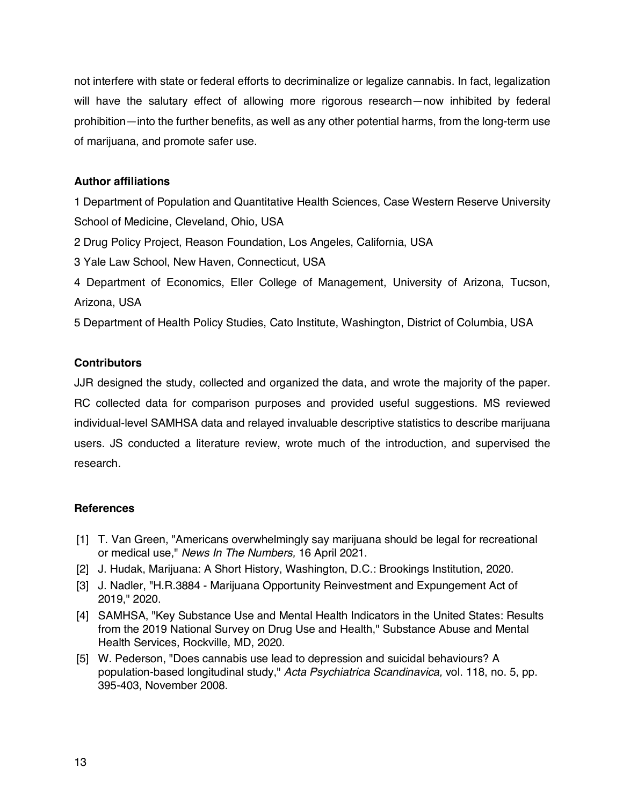not interfere with state or federal efforts to decriminalize or legalize cannabis. In fact, legalization will have the salutary effect of allowing more rigorous research—now inhibited by federal prohibition—into the further benefits, as well as any other potential harms, from the long-term use of marijuana, and promote safer use.

## **Author affiliations**

1 Department of Population and Quantitative Health Sciences, Case Western Reserve University School of Medicine, Cleveland, Ohio, USA

2 Drug Policy Project, Reason Foundation, Los Angeles, California, USA

3 Yale Law School, New Haven, Connecticut, USA

4 Department of Economics, Eller College of Management, University of Arizona, Tucson, Arizona, USA

5 Department of Health Policy Studies, Cato Institute, Washington, District of Columbia, USA

## **Contributors**

JJR designed the study, collected and organized the data, and wrote the majority of the paper. RC collected data for comparison purposes and provided useful suggestions. MS reviewed individual-level SAMHSA data and relayed invaluable descriptive statistics to describe marijuana users. JS conducted a literature review, wrote much of the introduction, and supervised the research.

### **References**

- [1] T. Van Green, "Americans overwhelmingly say marijuana should be legal for recreational or medical use," *News In The Numbers,* 16 April 2021.
- [2] J. Hudak, Marijuana: A Short History, Washington, D.C.: Brookings Institution, 2020.
- [3] J. Nadler, "H.R.3884 Marijuana Opportunity Reinvestment and Expungement Act of 2019," 2020.
- [4] SAMHSA, "Key Substance Use and Mental Health Indicators in the United States: Results from the 2019 National Survey on Drug Use and Health," Substance Abuse and Mental Health Services, Rockville, MD, 2020.
- [5] W. Pederson, "Does cannabis use lead to depression and suicidal behaviours? A population‐based longitudinal study," *Acta Psychiatrica Scandinavica,* vol. 118, no. 5, pp. 395-403, November 2008.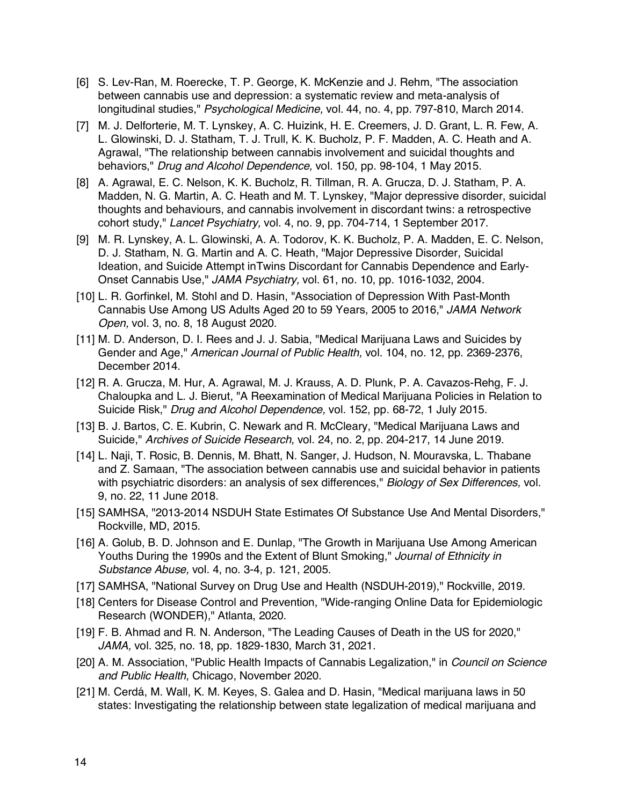- [6] S. Lev-Ran, M. Roerecke, T. P. George, K. McKenzie and J. Rehm, "The association between cannabis use and depression: a systematic review and meta-analysis of longitudinal studies," *Psychological Medicine,* vol. 44, no. 4, pp. 797-810, March 2014.
- [7] M. J. Delforterie, M. T. Lynskey, A. C. Huizink, H. E. Creemers, J. D. Grant, L. R. Few, A. L. Glowinski, D. J. Statham, T. J. Trull, K. K. Bucholz, P. F. Madden, A. C. Heath and A. Agrawal, "The relationship between cannabis involvement and suicidal thoughts and behaviors," *Drug and Alcohol Dependence,* vol. 150, pp. 98-104, 1 May 2015.
- [8] A. Agrawal, E. C. Nelson, K. K. Bucholz, R. Tillman, R. A. Grucza, D. J. Statham, P. A. Madden, N. G. Martin, A. C. Heath and M. T. Lynskey, "Major depressive disorder, suicidal thoughts and behaviours, and cannabis involvement in discordant twins: a retrospective cohort study," *Lancet Psychiatry,* vol. 4, no. 9, pp. 704-714, 1 September 2017.
- [9] M. R. Lynskey, A. L. Glowinski, A. A. Todorov, K. K. Bucholz, P. A. Madden, E. C. Nelson, D. J. Statham, N. G. Martin and A. C. Heath, "Major Depressive Disorder, Suicidal Ideation, and Suicide Attempt inTwins Discordant for Cannabis Dependence and Early-Onset Cannabis Use," *JAMA Psychiatry,* vol. 61, no. 10, pp. 1016-1032, 2004.
- [10] L. R. Gorfinkel, M. Stohl and D. Hasin, "Association of Depression With Past-Month Cannabis Use Among US Adults Aged 20 to 59 Years, 2005 to 2016," *JAMA Network Open,* vol. 3, no. 8, 18 August 2020.
- [11] M. D. Anderson, D. I. Rees and J. J. Sabia, "Medical Marijuana Laws and Suicides by Gender and Age," *American Journal of Public Health,* vol. 104, no. 12, pp. 2369-2376, December 2014.
- [12] R. A. Grucza, M. Hur, A. Agrawal, M. J. Krauss, A. D. Plunk, P. A. Cavazos-Rehg, F. J. Chaloupka and L. J. Bierut, "A Reexamination of Medical Marijuana Policies in Relation to Suicide Risk," *Drug and Alcohol Dependence,* vol. 152, pp. 68-72, 1 July 2015.
- [13] B. J. Bartos, C. E. Kubrin, C. Newark and R. McCleary, "Medical Marijuana Laws and Suicide," *Archives of Suicide Research,* vol. 24, no. 2, pp. 204-217, 14 June 2019.
- [14] L. Naji, T. Rosic, B. Dennis, M. Bhatt, N. Sanger, J. Hudson, N. Mouravska, L. Thabane and Z. Samaan, "The association between cannabis use and suicidal behavior in patients with psychiatric disorders: an analysis of sex differences," *Biology of Sex Differences,* vol. 9, no. 22, 11 June 2018.
- [15] SAMHSA, "2013-2014 NSDUH State Estimates Of Substance Use And Mental Disorders," Rockville, MD, 2015.
- [16] A. Golub, B. D. Johnson and E. Dunlap, "The Growth in Marijuana Use Among American Youths During the 1990s and the Extent of Blunt Smoking," *Journal of Ethnicity in Substance Abuse,* vol. 4, no. 3-4, p. 121, 2005.
- [17] SAMHSA, "National Survey on Drug Use and Health (NSDUH-2019)," Rockville, 2019.
- [18] Centers for Disease Control and Prevention, "Wide-ranging Online Data for Epidemiologic Research (WONDER)," Atlanta, 2020.
- [19] F. B. Ahmad and R. N. Anderson, "The Leading Causes of Death in the US for 2020," *JAMA,* vol. 325, no. 18, pp. 1829-1830, March 31, 2021.
- [20] A. M. Association, "Public Health Impacts of Cannabis Legalization," in *Council on Science and Public Health*, Chicago, November 2020.
- [21] M. Cerdá, M. Wall, K. M. Keyes, S. Galea and D. Hasin, "Medical marijuana laws in 50 states: Investigating the relationship between state legalization of medical marijuana and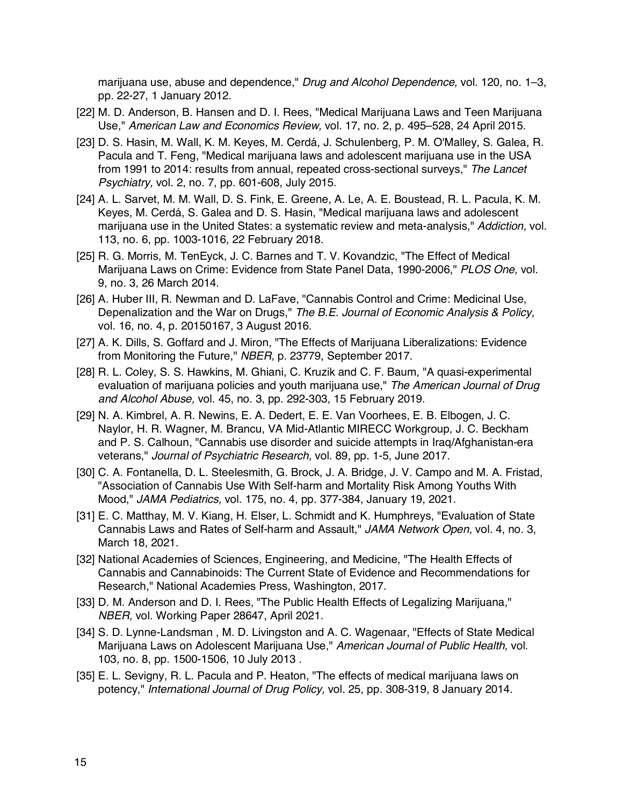marijuana use, abuse and dependence," *Drug and Alcohol Dependence,* vol. 120, no. 1–3, pp. 22-27, 1 January 2012.

- [22] M. D. Anderson, B. Hansen and D. I. Rees, "Medical Marijuana Laws and Teen Marijuana Use," *American Law and Economics Review,* vol. 17, no. 2, p. 495–528, 24 April 2015.
- [23] D. S. Hasin, M. Wall, K. M. Keyes, M. Cerdá, J. Schulenberg, P. M. O'Malley, S. Galea, R. Pacula and T. Feng, "Medical marijuana laws and adolescent marijuana use in the USA from 1991 to 2014: results from annual, repeated cross-sectional surveys," *The Lancet Psychiatry,* vol. 2, no. 7, pp. 601-608, July 2015.
- [24] A. L. Sarvet, M. M. Wall, D. S. Fink, E. Greene, A. Le, A. E. Boustead, R. L. Pacula, K. M. Keyes, M. Cerdá, S. Galea and D. S. Hasin, "Medical marijuana laws and adolescent marijuana use in the United States: a systematic review and meta-analysis," *Addiction,* vol. 113, no. 6, pp. 1003-1016, 22 February 2018.
- [25] R. G. Morris, M. TenEyck, J. C. Barnes and T. V. Kovandzic, "The Effect of Medical Marijuana Laws on Crime: Evidence from State Panel Data, 1990-2006," *PLOS One,* vol. 9, no. 3, 26 March 2014.
- [26] A. Huber III, R. Newman and D. LaFave, "Cannabis Control and Crime: Medicinal Use, Depenalization and the War on Drugs," *The B.E. Journal of Economic Analysis & Policy,*  vol. 16, no. 4, p. 20150167, 3 August 2016.
- [27] A. K. Dills, S. Goffard and J. Miron, "The Effects of Marijuana Liberalizations: Evidence from Monitoring the Future," *NBER,* p. 23779, September 2017.
- [28] R. L. Coley, S. S. Hawkins, M. Ghiani, C. Kruzik and C. F. Baum, "A quasi-experimental evaluation of marijuana policies and youth marijuana use," *The American Journal of Drug and Alcohol Abuse,* vol. 45, no. 3, pp. 292-303, 15 February 2019.
- [29] N. A. Kimbrel, A. R. Newins, E. A. Dedert, E. E. Van Voorhees, E. B. Elbogen, J. C. Naylor, H. R. Wagner, M. Brancu, VA Mid-Atlantic MIRECC Workgroup, J. C. Beckham and P. S. Calhoun, "Cannabis use disorder and suicide attempts in Iraq/Afghanistan-era veterans," *Journal of Psychiatric Research,* vol. 89, pp. 1-5, June 2017.
- [30] C. A. Fontanella, D. L. Steelesmith, G. Brock, J. A. Bridge, J. V. Campo and M. A. Fristad, "Association of Cannabis Use With Self-harm and Mortality Risk Among Youths With Mood," *JAMA Pediatrics,* vol. 175, no. 4, pp. 377-384, January 19, 2021.
- [31] E. C. Matthay, M. V. Kiang, H. Elser, L. Schmidt and K. Humphreys, "Evaluation of State Cannabis Laws and Rates of Self-harm and Assault," *JAMA Network Open,* vol. 4, no. 3, March 18, 2021.
- [32] National Academies of Sciences, Engineering, and Medicine, "The Health Effects of Cannabis and Cannabinoids: The Current State of Evidence and Recommendations for Research," National Academies Press, Washington, 2017.
- [33] D. M. Anderson and D. I. Rees, "The Public Health Effects of Legalizing Marijuana," *NBER,* vol. Working Paper 28647, April 2021.
- [34] S. D. Lynne-Landsman , M. D. Livingston and A. C. Wagenaar, "Effects of State Medical Marijuana Laws on Adolescent Marijuana Use," *American Journal of Public Health,* vol. 103, no. 8, pp. 1500-1506, 10 July 2013 .
- [35] E. L. Sevigny, R. L. Pacula and P. Heaton, "The effects of medical marijuana laws on potency," *International Journal of Drug Policy,* vol. 25, pp. 308-319, 8 January 2014.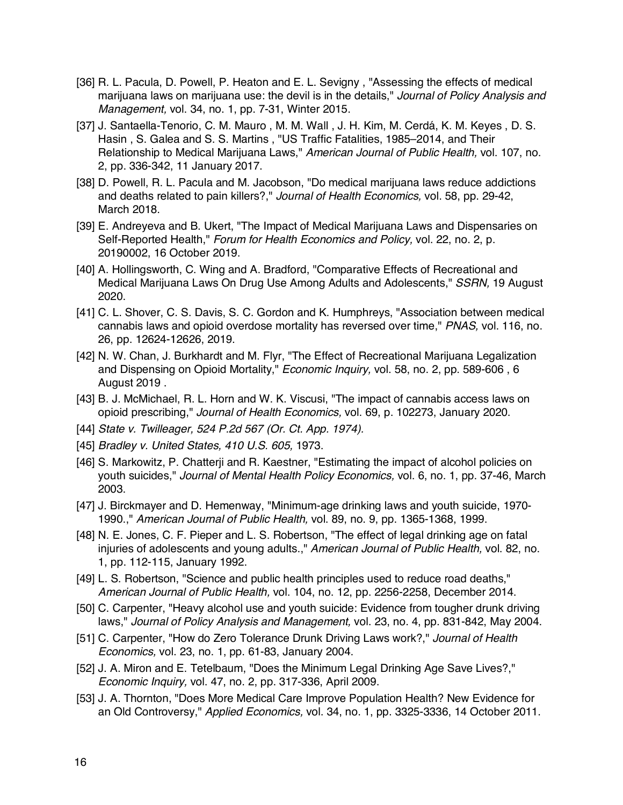- [36] R. L. Pacula, D. Powell, P. Heaton and E. L. Sevigny , "Assessing the effects of medical marijuana laws on marijuana use: the devil is in the details," *Journal of Policy Analysis and Management,* vol. 34, no. 1, pp. 7-31, Winter 2015.
- [37] J. Santaella-Tenorio, C. M. Mauro , M. M. Wall , J. H. Kim, M. Cerdá, K. M. Keyes , D. S. Hasin , S. Galea and S. S. Martins , "US Traffic Fatalities, 1985–2014, and Their Relationship to Medical Marijuana Laws," *American Journal of Public Health,* vol. 107, no. 2, pp. 336-342, 11 January 2017.
- [38] D. Powell, R. L. Pacula and M. Jacobson, "Do medical marijuana laws reduce addictions and deaths related to pain killers?," *Journal of Health Economics,* vol. 58, pp. 29-42, March 2018.
- [39] E. Andreyeva and B. Ukert, "The Impact of Medical Marijuana Laws and Dispensaries on Self-Reported Health," *Forum for Health Economics and Policy,* vol. 22, no. 2, p. 20190002, 16 October 2019.
- [40] A. Hollingsworth, C. Wing and A. Bradford, "Comparative Effects of Recreational and Medical Marijuana Laws On Drug Use Among Adults and Adolescents," *SSRN,* 19 August 2020.
- [41] C. L. Shover, C. S. Davis, S. C. Gordon and K. Humphreys, "Association between medical cannabis laws and opioid overdose mortality has reversed over time," *PNAS,* vol. 116, no. 26, pp. 12624-12626, 2019.
- [42] N. W. Chan, J. Burkhardt and M. Flyr, "The Effect of Recreational Marijuana Legalization and Dispensing on Opioid Mortality," *Economic Inquiry,* vol. 58, no. 2, pp. 589-606 , 6 August 2019 .
- [43] B. J. McMichael, R. L. Horn and W. K. Viscusi, "The impact of cannabis access laws on opioid prescribing," *Journal of Health Economics,* vol. 69, p. 102273, January 2020.
- [44] *State v. Twilleager, 524 P.2d 567 (Or. Ct. App. 1974).*
- [45] *Bradley v. United States, 410 U.S. 605,* 1973.
- [46] S. Markowitz, P. Chatterji and R. Kaestner, "Estimating the impact of alcohol policies on youth suicides," *Journal of Mental Health Policy Economics,* vol. 6, no. 1, pp. 37-46, March 2003.
- [47] J. Birckmayer and D. Hemenway, "Minimum-age drinking laws and youth suicide, 1970- 1990.," *American Journal of Public Health,* vol. 89, no. 9, pp. 1365-1368, 1999.
- [48] N. E. Jones, C. F. Pieper and L. S. Robertson, "The effect of legal drinking age on fatal injuries of adolescents and young adults.," *American Journal of Public Health,* vol. 82, no. 1, pp. 112-115, January 1992.
- [49] L. S. Robertson, "Science and public health principles used to reduce road deaths," *American Journal of Public Health,* vol. 104, no. 12, pp. 2256-2258, December 2014.
- [50] C. Carpenter, "Heavy alcohol use and youth suicide: Evidence from tougher drunk driving laws," *Journal of Policy Analysis and Management,* vol. 23, no. 4, pp. 831-842, May 2004.
- [51] C. Carpenter, "How do Zero Tolerance Drunk Driving Laws work?," *Journal of Health Economics,* vol. 23, no. 1, pp. 61-83, January 2004.
- [52] J. A. Miron and E. Tetelbaum, "Does the Minimum Legal Drinking Age Save Lives?," *Economic Inquiry,* vol. 47, no. 2, pp. 317-336, April 2009.
- [53] J. A. Thornton, "Does More Medical Care Improve Population Health? New Evidence for an Old Controversy," *Applied Economics,* vol. 34, no. 1, pp. 3325-3336, 14 October 2011.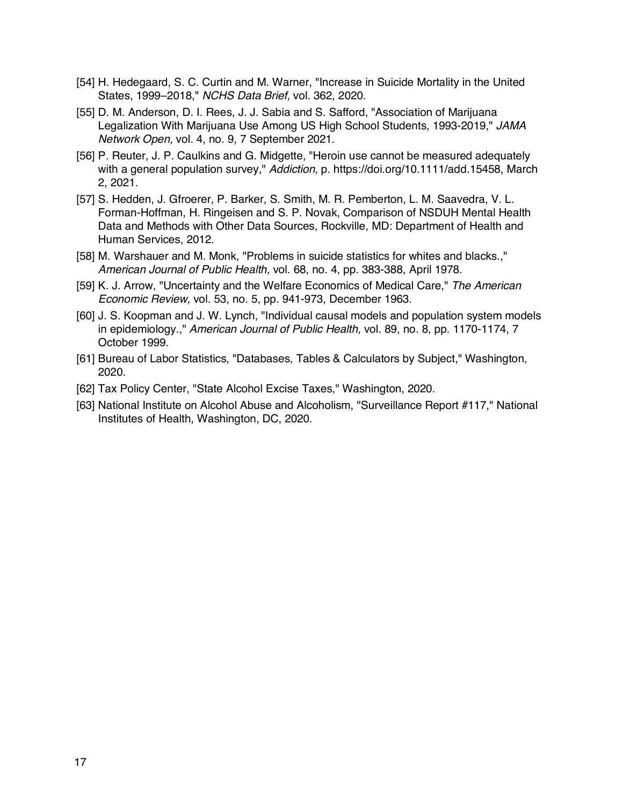- [54] H. Hedegaard, S. C. Curtin and M. Warner, "Increase in Suicide Mortality in the United States, 1999–2018," *NCHS Data Brief,* vol. 362, 2020.
- [55] D. M. Anderson, D. I. Rees, J. J. Sabia and S. Safford, "Association of Marijuana Legalization With Marijuana Use Among US High School Students, 1993-2019," *JAMA Network Open,* vol. 4, no. 9, 7 September 2021.
- [56] P. Reuter, J. P. Caulkins and G. Midgette, "Heroin use cannot be measured adequately with a general population survey," *Addiction,* p. https://doi.org/10.1111/add.15458, March 2, 2021.
- [57] S. Hedden, J. Gfroerer, P. Barker, S. Smith, M. R. Pemberton, L. M. Saavedra, V. L. Forman-Hoffman, H. Ringeisen and S. P. Novak, Comparison of NSDUH Mental Health Data and Methods with Other Data Sources, Rockville, MD: Department of Health and Human Services, 2012.
- [58] M. Warshauer and M. Monk, "Problems in suicide statistics for whites and blacks.," *American Journal of Public Health,* vol. 68, no. 4, pp. 383-388, April 1978.
- [59] K. J. Arrow, "Uncertainty and the Welfare Economics of Medical Care," *The American Economic Review,* vol. 53, no. 5, pp. 941-973, December 1963.
- [60] J. S. Koopman and J. W. Lynch, "Individual causal models and population system models in epidemiology.," *American Journal of Public Health,* vol. 89, no. 8, pp. 1170-1174, 7 October 1999.
- [61] Bureau of Labor Statistics, "Databases, Tables & Calculators by Subject," Washington, 2020.
- [62] Tax Policy Center, "State Alcohol Excise Taxes," Washington, 2020.
- [63] National Institute on Alcohol Abuse and Alcoholism, "Surveillance Report #117," National Institutes of Health, Washington, DC, 2020.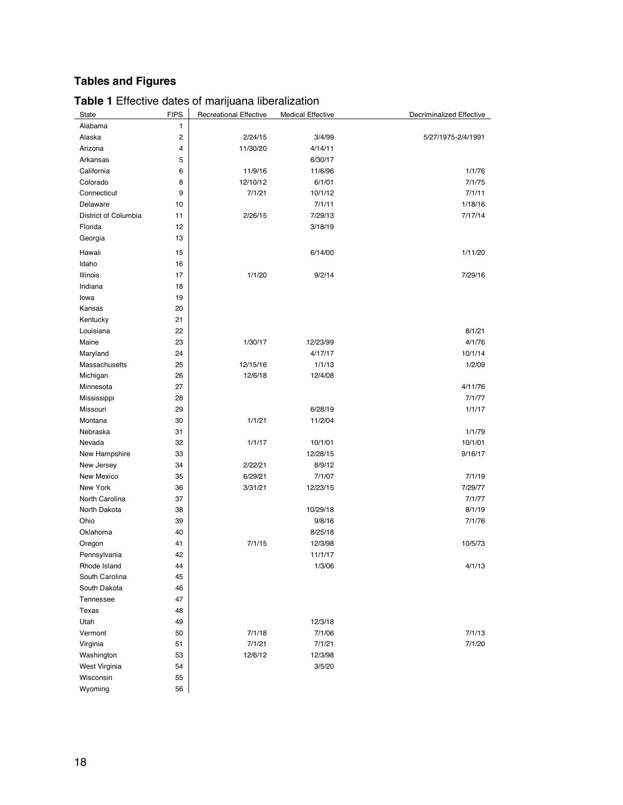# **Tables and Figures**

| State                    | <b>FIPS</b> | <b>Recreational Effective</b> | <b>Medical Effective</b> | Decriminalized Effective |
|--------------------------|-------------|-------------------------------|--------------------------|--------------------------|
| Alabama                  | 1           |                               |                          |                          |
| Alaska                   | 2           | 2/24/15                       | 3/4/99                   | 5/27/1975-2/4/1991       |
| Arizona                  | 4           | 11/30/20                      | 4/14/11                  |                          |
| Arkansas                 | 5           |                               | 6/30/17                  |                          |
| California               | 6           | 11/9/16                       | 11/6/96                  | 1/1/76                   |
| Colorado                 | 8           | 12/10/12                      | 6/1/01                   | 7/1/75                   |
| Connecticut              | 9           | 7/1/21                        | 10/1/12                  | 7/1/11                   |
| Delaware                 | 10          |                               | 7/1/11                   | 1/18/16                  |
| District of Columbia     | 11          | 2/26/15                       | 7/29/13                  | 7/17/14                  |
| Florida                  | 12          |                               | 3/18/19                  |                          |
| Georgia                  | 13          |                               |                          |                          |
|                          |             |                               |                          |                          |
| Hawaii                   | 15          |                               | 6/14/00                  | 1/11/20                  |
| Idaho                    | 16          |                               |                          |                          |
| Illinois                 | 17          | 1/1/20                        | 9/2/14                   | 7/29/16                  |
| Indiana                  | 18          |                               |                          |                          |
| lowa                     | 19          |                               |                          |                          |
| Kansas                   | 20          |                               |                          |                          |
| Kentucky                 | 21<br>22    |                               |                          |                          |
| Louisiana                | 23          |                               |                          | 8/1/21                   |
| Maine                    | 24          | 1/30/17                       | 12/23/99                 | 4/1/76                   |
| Maryland                 |             | 12/15/16                      | 4/17/17<br>1/1/13        | 10/1/14<br>1/2/09        |
| Massachusetts            | 25          |                               |                          |                          |
| Michigan                 | 26          | 12/6/18                       | 12/4/08                  | 4/11/76                  |
| Minnesota<br>Mississippi | 27<br>28    |                               |                          | 7/1/77                   |
| Missouri                 | 29          |                               | 6/28/19                  | 1/1/17                   |
| Montana                  | 30          | 1/1/21                        | 11/2/04                  |                          |
| Nebraska                 | 31          |                               |                          | 1/1/79                   |
| Nevada                   | 32          | 1/1/17                        | 10/1/01                  | 10/1/01                  |
| New Hampshire            | 33          |                               | 12/28/15                 | 9/16/17                  |
| New Jersey               | 34          | 2/22/21                       | 8/9/12                   |                          |
| New Mexico               | 35          | 6/29/21                       | 7/1/07                   | 7/1/19                   |
| New York                 | 36          | 3/31/21                       | 12/23/15                 | 7/29/77                  |
| North Carolina           | 37          |                               |                          | 7/1/77                   |
| North Dakota             | 38          |                               | 10/29/18                 | 8/1/19                   |
| Ohio                     | 39          |                               | 9/8/16                   | 7/1/76                   |
| Oklahoma                 | 40          |                               | 8/25/18                  |                          |
| Oregon                   | 41          | 7/1/15                        | 12/3/98                  | 10/5/73                  |
| Pennsylvania             | 42          |                               | 11/1/17                  |                          |
| Rhode Island             | 44          |                               | 1/3/06                   | 4/1/13                   |
| South Carolina           | 45          |                               |                          |                          |
| South Dakota             | 46          |                               |                          |                          |
| Tennessee                | 47          |                               |                          |                          |
| Texas                    | 48          |                               |                          |                          |
| Utah                     | 49          |                               | 12/3/18                  |                          |
| Vermont                  | 50          | 7/1/18                        | 7/1/06                   | 7/1/13                   |
| Virginia                 | 51          | 7/1/21                        | 7/1/21                   | 7/1/20                   |
| Washington               | 53          | 12/6/12                       | 12/3/98                  |                          |
| West Virginia            | 54          |                               | 3/5/20                   |                          |
| Wisconsin                | 55          |                               |                          |                          |
| Wyoming                  | 56          |                               |                          |                          |

### **Table 1** Effective dates of marijuana liberalization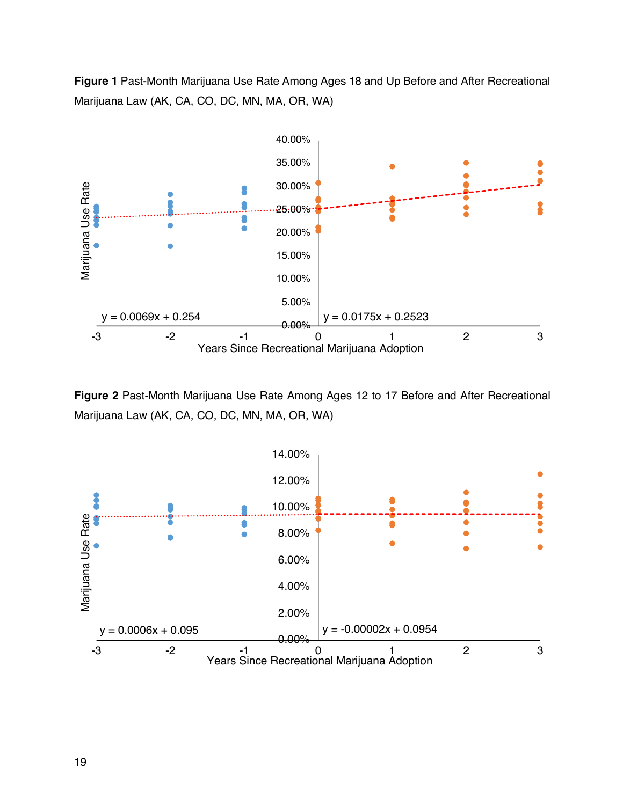**Figure 1** Past-Month Marijuana Use Rate Among Ages 18 and Up Before and After Recreational Marijuana Law (AK, CA, CO, DC, MN, MA, OR, WA)



**Figure 2** Past-Month Marijuana Use Rate Among Ages 12 to 17 Before and After Recreational Marijuana Law (AK, CA, CO, DC, MN, MA, OR, WA)

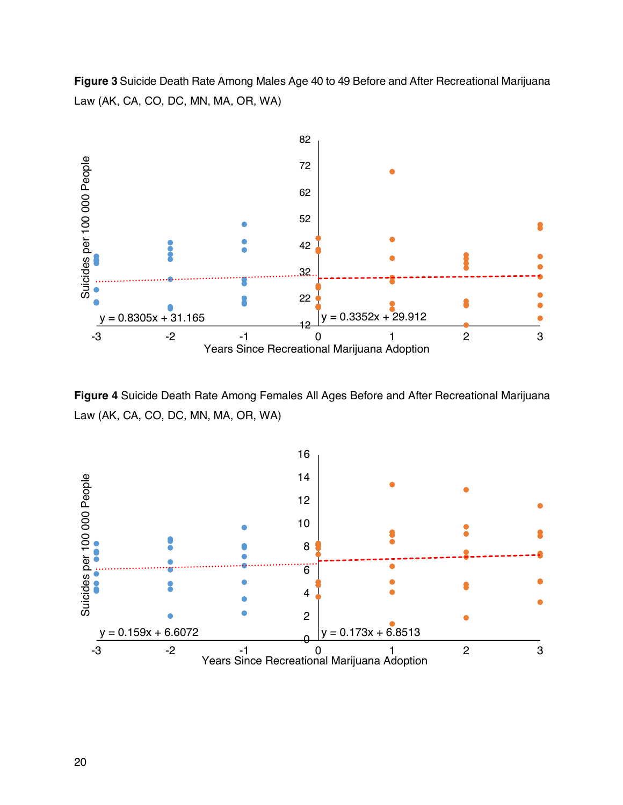**Figure 3** Suicide Death Rate Among Males Age 40 to 49 Before and After Recreational Marijuana Law (AK, CA, CO, DC, MN, MA, OR, WA)



**Figure 4** Suicide Death Rate Among Females All Ages Before and After Recreational Marijuana Law (AK, CA, CO, DC, MN, MA, OR, WA)

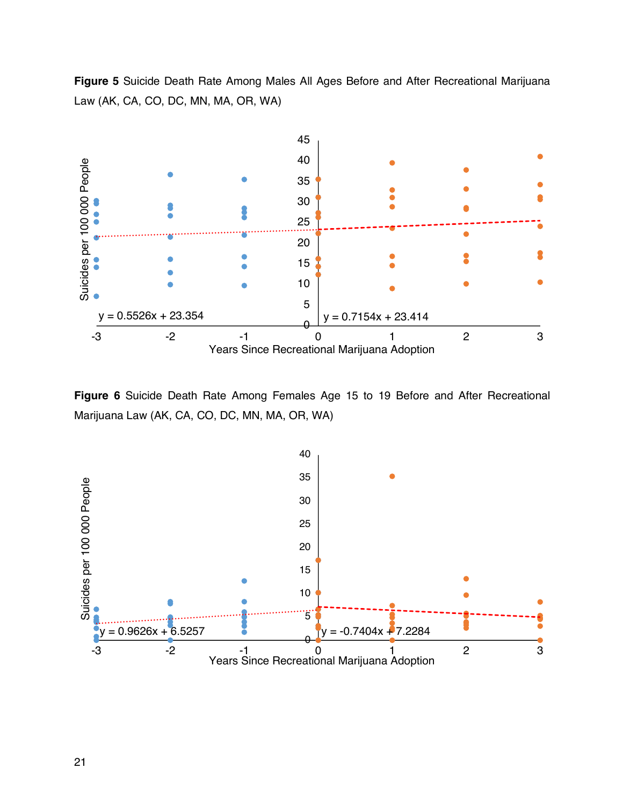**Figure 5** Suicide Death Rate Among Males All Ages Before and After Recreational Marijuana Law (AK, CA, CO, DC, MN, MA, OR, WA)



**Figure 6** Suicide Death Rate Among Females Age 15 to 19 Before and After Recreational Marijuana Law (AK, CA, CO, DC, MN, MA, OR, WA)

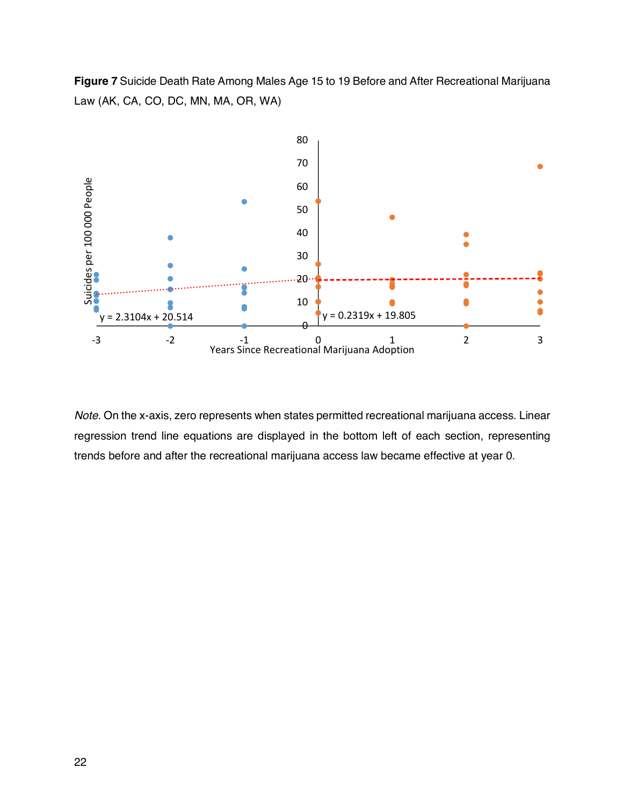**Figure 7** Suicide Death Rate Among Males Age 15 to 19 Before and After Recreational Marijuana Law (AK, CA, CO, DC, MN, MA, OR, WA)



*Note*. On the x-axis, zero represents when states permitted recreational marijuana access. Linear regression trend line equations are displayed in the bottom left of each section, representing trends before and after the recreational marijuana access law became effective at year 0.